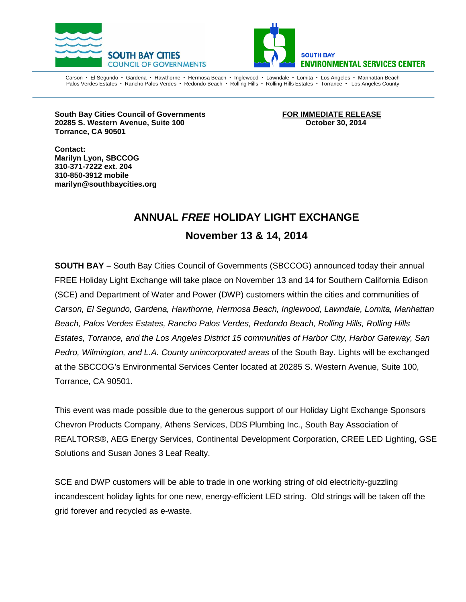



Carson • El Segundo • Gardena • Hawthorne • Hermosa Beach • Inglewood • Lawndale • Lomita • Los Angeles • Manhattan Beach Palos Verdes Estates · Rancho Palos Verdes · Redondo Beach · Rolling Hills · Rolling Hills Estates · Torrance · Los Angeles County

**South Bay Cities Council of Governments FOR IMMEDIATE RELEASE 20285 S. Western Avenue, Suite 100 October 30, 2014 Torrance, CA 90501**

**Contact: Marilyn Lyon, SBCCOG 310-371-7222 ext. 204 310-850-3912 mobile marilyn@southbaycities.org**

## **ANNUAL** *FREE* **HOLIDAY LIGHT EXCHANGE November 13 & 14, 2014**

**SOUTH BAY –** South Bay Cities Council of Governments (SBCCOG) announced today their annual FREE Holiday Light Exchange will take place on November 13 and 14 for Southern California Edison (SCE) and Department of Water and Power (DWP) customers within the cities and communities of *Carson, El Segundo, Gardena, Hawthorne, Hermosa Beach, Inglewood, Lawndale, Lomita, Manhattan Beach, Palos Verdes Estates, Rancho Palos Verdes, Redondo Beach, Rolling Hills, Rolling Hills Estates, Torrance, and the Los Angeles District 15 communities of Harbor City, Harbor Gateway, San Pedro, Wilmington, and L.A. County unincorporated areas* of the South Bay. Lights will be exchanged at the SBCCOG's Environmental Services Center located at 20285 S. Western Avenue, Suite 100, Torrance, CA 90501.

This event was made possible due to the generous support of our Holiday Light Exchange Sponsors Chevron Products Company, Athens Services, DDS Plumbing Inc., South Bay Association of REALTORS®, AEG Energy Services, Continental Development Corporation, CREE LED Lighting, GSE Solutions and Susan Jones 3 Leaf Realty.

SCE and DWP customers will be able to trade in one working string of old electricity-guzzling incandescent holiday lights for one new, energy-efficient LED string. Old strings will be taken off the grid forever and recycled as e-waste.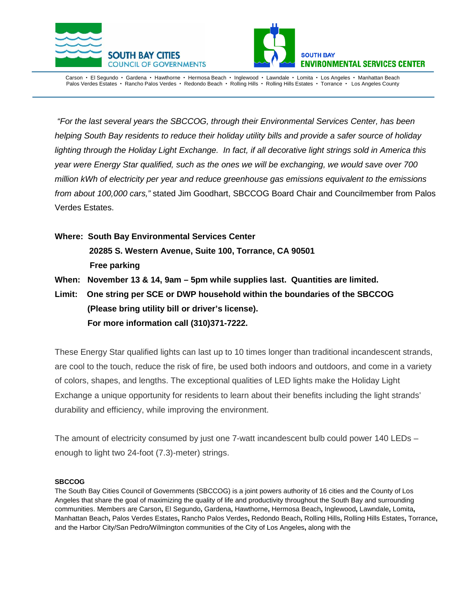



Carson • El Segundo • Gardena • Hawthorne • Hermosa Beach • Inglewood • Lawndale • Lomita • Los Angeles • Manhattan Beach Palos Verdes Estates · Rancho Palos Verdes · Redondo Beach · Rolling Hills · Rolling Hills Estates · Torrance · Los Angeles County

*"For the last several years the SBCCOG, through their Environmental Services Center, has been helping South Bay residents to reduce their holiday utility bills and provide a safer source of holiday lighting through the Holiday Light Exchange. In fact, if all decorative light strings sold in America this year were Energy Star qualified, such as the ones we will be exchanging, we would save over 700 million kWh of electricity per year and reduce greenhouse gas emissions equivalent to the emissions from about 100,000 cars,"* stated Jim Goodhart, SBCCOG Board Chair and Councilmember from Palos Verdes Estates.

- **Where: South Bay Environmental Services Center 20285 S. Western Avenue, Suite 100, Torrance, CA 90501 Free parking**
- **When: November 13 & 14, 9am – 5pm while supplies last. Quantities are limited.**
- **Limit: One string per SCE or DWP household within the boundaries of the SBCCOG (Please bring utility bill or driver's license). For more information call (310)371-7222.**

These Energy Star qualified lights can last up to 10 times longer than traditional incandescent strands, are cool to the touch, reduce the risk of fire, be used both indoors and outdoors, and come in a variety of colors, shapes, and lengths. The exceptional qualities of LED lights make the Holiday Light Exchange a unique opportunity for residents to learn about their benefits including the light strands' durability and efficiency, while improving the environment.

The amount of electricity consumed by just one 7-watt incandescent bulb could power 140 LEDs – enough to light two 24-foot (7.3)-meter) strings.

## **SBCCOG**

The South Bay Cities Council of Governments (SBCCOG) is a joint powers authority of 16 cities and the County of Los Angeles that share the goal of maximizing the quality of life and productivity throughout the South Bay and surrounding communities. Members are [Carson](http://ci.carson.ca.us/)**,** [El Segundo](http://www.elsegundo.org/)**,** [Gardena](http://www.ci.gardena.ca.us/)**,** [Hawthorne](http://www.cityofhawthorne.com/)**,** [Hermosa Beach](http://www.hermosabch.org/)**,** [Inglewood](http://www.cityofinglewood.org/default.asp)**,** [Lawndale](http://www.lawndalecity.org/)**,** [Lomita](http://www.lomita.com/cityhall/)**,**  [Manhattan](http://www.ci.manhattan-beach.ca.us/) Beach**,** [Palos Verdes Estates](http://palosverdes.com/pve/)**,** [Rancho Palos Verdes](http://www.palosverdes.com/rpv/)**,** [Redondo Beach](http://www.redondo.org/default.asp)**,** [Rolling Hills](http://www.palosverdes.com/rh/)**,** [Rolling Hills](http://www.ci.rolling-hills-estates.ca.us/) Estates**,** [Torrance](http://www.ci.torrance.ca.us/)**,**  and the Harbor City/San Pedro/Wilmington communities of the [City of Los Angeles](http://www.sanpedro.com/)**,** along with the